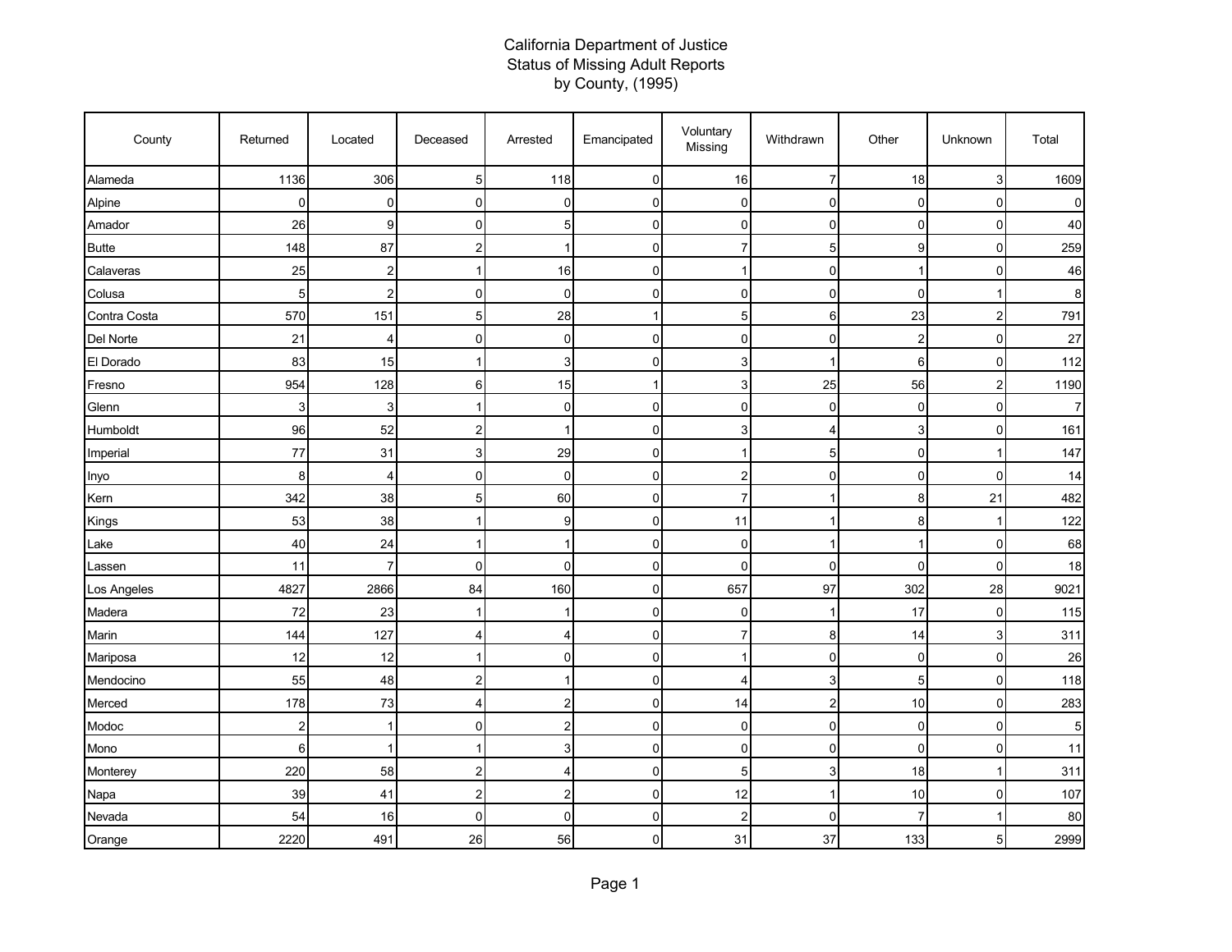## California Department of Justice Status of Missing Adult Reports by County, (1995)

| County       | Returned       | Located                 | Deceased       | Arrested       | Emancipated  | Voluntary<br>Missing | Withdrawn      | Other          | Unknown                 | Total |
|--------------|----------------|-------------------------|----------------|----------------|--------------|----------------------|----------------|----------------|-------------------------|-------|
| Alameda      | 1136           | 306                     | 5 <sub>l</sub> | 118            | 0            | 16                   | 7              | 18             | 3                       | 1609  |
| Alpine       | $\mathbf 0$    | 0                       | $\overline{0}$ | 0              | 0            | 0                    | $\mathbf 0$    | $\mathbf 0$    | $\mathbf 0$             | 0     |
| Amador       | 26             | 9                       | $\mathbf 0$    | 5              | 0            | $\mathbf 0$          | $\mathbf 0$    | 0              | $\mathbf 0$             | 40    |
| <b>Butte</b> | 148            | 87                      | $\overline{2}$ | 1              | 0            | $\overline{7}$       | 5              | 9              | $\mathbf 0$             | 259   |
| Calaveras    | 25             | $\overline{\mathbf{c}}$ | 1              | 16             | 0            | $\mathbf 1$          | $\mathbf 0$    | $\mathbf 1$    | 0                       | 46    |
| Colusa       | 5              | $\overline{c}$          | $\overline{0}$ | $\mathbf 0$    | 0            | $\mathbf 0$          | $\mathbf 0$    | $\Omega$       |                         | 8     |
| Contra Costa | 570            | 151                     | 5 <sub>5</sub> | 28             | $\mathbf{1}$ | 5                    | 6              | 23             | $\overline{\mathbf{c}}$ | 791   |
| Del Norte    | 21             | 4                       | $\overline{0}$ | 0              | 0            | 0                    | $\mathbf 0$    | $\overline{2}$ | $\mathbf 0$             | 27    |
| El Dorado    | 83             | 15                      |                | 3              | 0            | 3                    | $\overline{1}$ | 6              | 0                       | 112   |
| Fresno       | 954            | 128                     | 6              | 15             | 1            | 3                    | 25             | 56             | $\overline{\mathbf{c}}$ | 1190  |
| Glenn        | 3              | 3                       | $\mathbf 1$    | $\mathbf 0$    | 0            | $\mathsf 0$          | 0              | 0              | $\mathbf 0$             |       |
| Humboldt     | 96             | 52                      | $\overline{c}$ | 1              | 0            | 3                    | $\overline{4}$ | 3              | $\mathbf 0$             | 161   |
| Imperial     | 77             | 31                      | 3              | 29             | 0            | -1                   | 5              | $\mathbf 0$    | 1                       | 147   |
| Inyo         | 8              | 4                       | $\mathbf 0$    | $\mathbf 0$    | 0            | $\overline{c}$       | $\mathbf 0$    | 0              | $\mathbf 0$             | 14    |
| Kern         | 342            | 38                      | 5 <sub>5</sub> | 60             | 0            | $\overline{7}$       | $\overline{1}$ | 8              | 21                      | 482   |
| Kings        | 53             | 38                      | 1              | 9              | 0            | 11                   | -1             | 8              | 1                       | 122   |
| Lake         | 40             | 24                      |                | 1              | 0            | 0                    | 1              |                | $\mathbf 0$             | 68    |
| Lassen       | 11             | 7                       | $\overline{0}$ | $\mathbf 0$    | 0            | $\mathbf 0$          | $\mathbf 0$    | $\mathbf 0$    | $\mathbf 0$             | 18    |
| Los Angeles  | 4827           | 2866                    | 84             | 160            | 0            | 657                  | 97             | 302            | 28                      | 9021  |
| Madera       | 72             | 23                      |                | 1              | 0            | 0                    | 1              | 17             | $\mathbf 0$             | 115   |
| Marin        | 144            | 127                     | 4              | 4              | 0            | $\overline{7}$       | 8              | 14             | 3                       | 311   |
| Mariposa     | 12             | 12                      |                | 0              | 0            |                      | $\mathbf 0$    | 0              | $\mathbf 0$             | 26    |
| Mendocino    | 55             | 48                      | $\overline{2}$ | 1              | 0            | $\overline{4}$       | 3              | 5              | $\mathbf 0$             | 118   |
| Merced       | 178            | 73                      | 4              | 2              | 0            | 14                   | $\overline{2}$ | 10             | 0                       | 283   |
| Modoc        | $\overline{c}$ | 1                       | $\mathbf 0$    | $\overline{c}$ | 0            | $\mathbf 0$          | $\mathbf 0$    | $\mathbf 0$    | $\mathbf 0$             | 5     |
| Mono         | $\,6$          | 1                       | $\mathbf 1$    | 3              | 0            | $\mathbf 0$          | $\mathbf 0$    | $\mathbf 0$    | $\mathbf 0$             | 11    |
| Monterey     | 220            | 58                      | $\overline{a}$ | 4              | 0            | 5                    | 3              | 18             | $\mathbf{1}$            | 311   |
| Napa         | 39             | 41                      | $\overline{2}$ | 2              | 0            | 12                   | $\overline{1}$ | 10             | $\mathbf 0$             | 107   |
| Nevada       | 54             | 16                      | $\overline{0}$ | $\mathbf 0$    | 0            | $\overline{c}$       | $\Omega$       | 7              | 1                       | 80    |
| Orange       | 2220           | 491                     | 26             | 56             | 0            | 31                   | 37             | 133            | 5                       | 2999  |